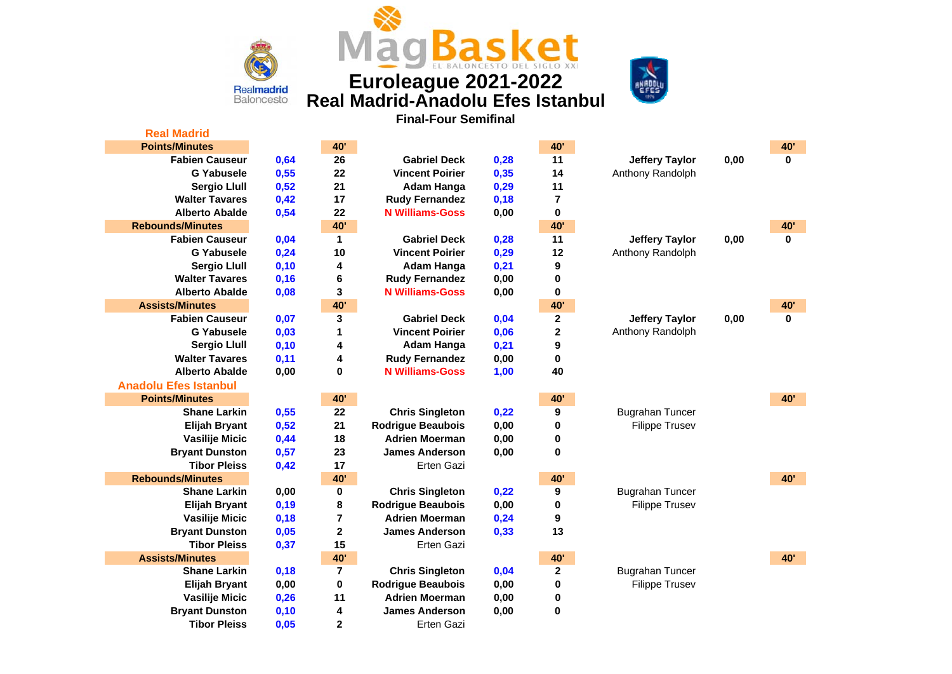

**[Real Madrid](http://www.euroleague.net/competition/teams/showteam?clubcode=MAD&seasoncode=E2017)**

**Euroleague 2021-2022 Real Madrid-Anadolu Efes Istanbul**



**Final-Four Semifinal**

| <b>Real Madrid</b>           |      |                         |                          |      |                 |                        |      |             |
|------------------------------|------|-------------------------|--------------------------|------|-----------------|------------------------|------|-------------|
| <b>Points/Minutes</b>        |      | <b>40'</b>              |                          |      | 40'             |                        |      | <b>40'</b>  |
| <b>Fabien Causeur</b>        | 0,64 | 26                      | <b>Gabriel Deck</b>      | 0,28 | 11              | <b>Jeffery Taylor</b>  | 0,00 | $\bf{0}$    |
| <b>G</b> Yabusele            | 0,55 | 22                      | <b>Vincent Poirier</b>   | 0,35 | 14              | Anthony Randolph       |      |             |
| <b>Sergio Llull</b>          | 0,52 | 21                      | Adam Hanga               | 0,29 | 11              |                        |      |             |
| <b>Walter Tavares</b>        | 0,42 | 17                      | <b>Rudy Fernandez</b>    | 0,18 | 7               |                        |      |             |
| <b>Alberto Abalde</b>        | 0,54 | 22                      | <b>N Williams-Goss</b>   | 0,00 | 0               |                        |      |             |
| <b>Rebounds/Minutes</b>      |      | <b>40'</b>              |                          |      | 40'             |                        |      | <b>40'</b>  |
| <b>Fabien Causeur</b>        | 0,04 | $\mathbf{1}$            | <b>Gabriel Deck</b>      | 0,28 | 11              | <b>Jeffery Taylor</b>  | 0,00 | $\mathbf 0$ |
| <b>G Yabusele</b>            | 0,24 | 10                      | <b>Vincent Poirier</b>   | 0,29 | 12              | Anthony Randolph       |      |             |
| <b>Sergio Llull</b>          | 0,10 | 4                       | <b>Adam Hanga</b>        | 0,21 | 9               |                        |      |             |
| <b>Walter Tavares</b>        | 0,16 | 6                       | <b>Rudy Fernandez</b>    | 0,00 | 0               |                        |      |             |
| <b>Alberto Abalde</b>        | 0,08 | 3                       | <b>N Williams-Goss</b>   | 0,00 | $\pmb{0}$       |                        |      |             |
| <b>Assists/Minutes</b>       |      | <b>40'</b>              |                          |      | 40'             |                        |      | <b>40'</b>  |
| <b>Fabien Causeur</b>        | 0,07 | 3                       | <b>Gabriel Deck</b>      | 0,04 | $\mathbf{2}$    | <b>Jeffery Taylor</b>  | 0,00 | $\mathbf 0$ |
| <b>G</b> Yabusele            | 0,03 | 1                       | <b>Vincent Poirier</b>   | 0,06 | 2               | Anthony Randolph       |      |             |
| <b>Sergio Llull</b>          | 0,10 | 4                       | Adam Hanga               | 0,21 | 9               |                        |      |             |
| <b>Walter Tavares</b>        | 0,11 | 4                       | <b>Rudy Fernandez</b>    | 0,00 | 0               |                        |      |             |
| <b>Alberto Abalde</b>        | 0,00 | $\bf{0}$                | <b>N Williams-Goss</b>   | 1,00 | 40              |                        |      |             |
| <b>Anadolu Efes Istanbul</b> |      |                         |                          |      |                 |                        |      |             |
| <b>Points/Minutes</b>        |      | <b>40'</b>              |                          |      | 40'             |                        |      | <b>40'</b>  |
| <b>Shane Larkin</b>          | 0,55 | 22                      | <b>Chris Singleton</b>   | 0,22 | 9               | <b>Bugrahan Tuncer</b> |      |             |
| <b>Elijah Bryant</b>         | 0,52 | 21                      | <b>Rodrigue Beaubois</b> | 0,00 | 0               | <b>Filippe Trusev</b>  |      |             |
| Vasilije Micic               | 0,44 | 18                      | <b>Adrien Moerman</b>    | 0,00 | 0               |                        |      |             |
| <b>Bryant Dunston</b>        | 0,57 | 23                      | <b>James Anderson</b>    | 0,00 | $\mathbf 0$     |                        |      |             |
| <b>Tibor Pleiss</b>          | 0,42 | 17                      | <b>Erten Gazi</b>        |      |                 |                        |      |             |
| <b>Rebounds/Minutes</b>      |      | 40'                     |                          |      | 40 <sup>'</sup> |                        |      | 40'         |
| <b>Shane Larkin</b>          | 0,00 | $\bf{0}$                | <b>Chris Singleton</b>   | 0,22 | 9               | <b>Bugrahan Tuncer</b> |      |             |
| <b>Elijah Bryant</b>         | 0,19 | 8                       | <b>Rodrigue Beaubois</b> | 0,00 | 0               | <b>Filippe Trusev</b>  |      |             |
| Vasilije Micic               | 0,18 | $\overline{7}$          | <b>Adrien Moerman</b>    | 0,24 | 9               |                        |      |             |
| <b>Bryant Dunston</b>        | 0,05 | $\mathbf 2$             | <b>James Anderson</b>    | 0,33 | 13              |                        |      |             |
| <b>Tibor Pleiss</b>          | 0,37 | 15                      | Erten Gazi               |      |                 |                        |      |             |
| <b>Assists/Minutes</b>       |      | 40'                     |                          |      | <b>40'</b>      |                        |      | 40'         |
| <b>Shane Larkin</b>          | 0,18 | $\overline{\mathbf{r}}$ | <b>Chris Singleton</b>   | 0,04 | 2               | <b>Bugrahan Tuncer</b> |      |             |
| <b>Elijah Bryant</b>         | 0,00 | $\pmb{0}$               | <b>Rodrigue Beaubois</b> | 0,00 | 0               | <b>Filippe Trusev</b>  |      |             |
| Vasilije Micic               | 0,26 | 11                      | <b>Adrien Moerman</b>    | 0,00 | 0               |                        |      |             |
| <b>Bryant Dunston</b>        | 0,10 | 4                       | <b>James Anderson</b>    | 0,00 | $\pmb{0}$       |                        |      |             |
| <b>Tibor Pleiss</b>          | 0,05 | $\overline{2}$          | <b>Erten Gazi</b>        |      |                 |                        |      |             |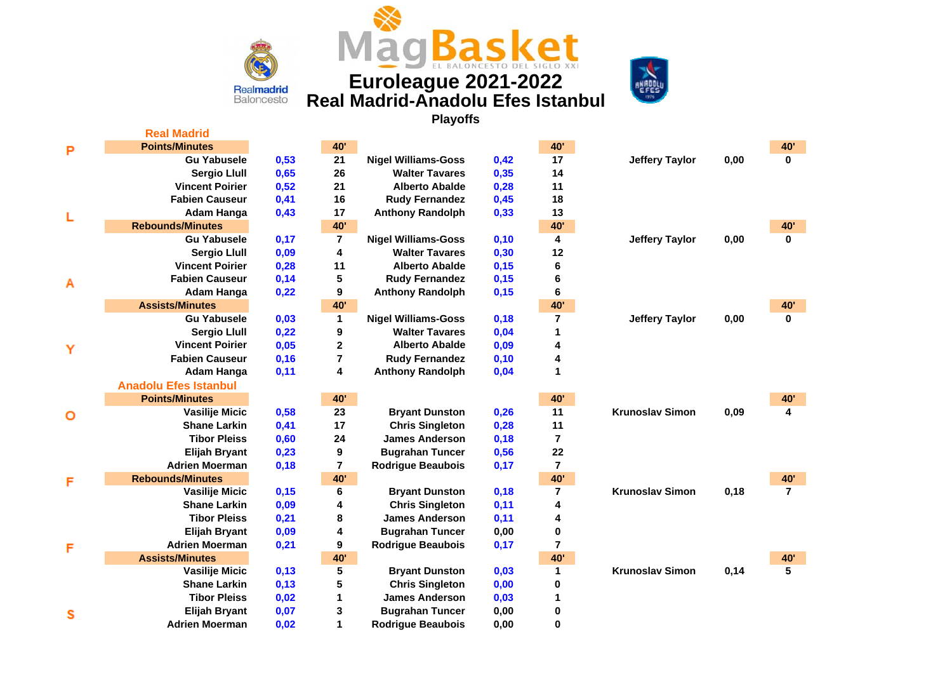

**[Real Madrid](http://www.euroleague.net/competition/teams/showteam?clubcode=MAD&seasoncode=E2017)**

# **Euroleague 2021-2022 Real Madrid-Anadolu Efes Istanbul**



**READER** 

**Playoffs**

**Jugadores pendiente de confirmar su participación en este partido**

| P | <b>Points/Minutes</b>        |      | <b>40'</b>              |                            |      | <b>40'</b>      |                        |      | <b>40'</b>     |
|---|------------------------------|------|-------------------------|----------------------------|------|-----------------|------------------------|------|----------------|
|   | <b>Gu Yabusele</b>           | 0,53 | 21                      | <b>Nigel Williams-Goss</b> | 0,42 | 17              | <b>Jeffery Taylor</b>  | 0,00 | $\mathbf{0}$   |
|   | <b>Sergio Llull</b>          | 0,65 | 26                      | <b>Walter Tavares</b>      | 0,35 | 14              |                        |      |                |
|   | <b>Vincent Poirier</b>       | 0,52 | 21                      | <b>Alberto Abalde</b>      | 0,28 | 11              |                        |      |                |
|   | <b>Fabien Causeur</b>        | 0,41 | 16                      | <b>Rudy Fernandez</b>      | 0,45 | 18              |                        |      |                |
| L | Adam Hanga                   | 0,43 | 17                      | <b>Anthony Randolph</b>    | 0,33 | 13              |                        |      |                |
|   | <b>Rebounds/Minutes</b>      |      | 40'                     |                            |      | <b>40'</b>      |                        |      | <b>40'</b>     |
|   | <b>Gu Yabusele</b>           | 0,17 | $\overline{\mathbf{r}}$ | <b>Nigel Williams-Goss</b> | 0,10 | 4               | <b>Jeffery Taylor</b>  | 0,00 | $\mathbf{0}$   |
|   | <b>Sergio Llull</b>          | 0,09 | 4                       | <b>Walter Tavares</b>      | 0,30 | 12              |                        |      |                |
|   | <b>Vincent Poirier</b>       | 0,28 | 11                      | <b>Alberto Abalde</b>      | 0,15 | 6               |                        |      |                |
| Α | <b>Fabien Causeur</b>        | 0,14 | 5                       | <b>Rudy Fernandez</b>      | 0,15 | 6               |                        |      |                |
|   | Adam Hanga                   | 0,22 | 9                       | <b>Anthony Randolph</b>    | 0,15 | 6               |                        |      |                |
|   | <b>Assists/Minutes</b>       |      | 40'                     |                            |      | 40 <sup>'</sup> |                        |      | <b>40'</b>     |
|   | <b>Gu Yabusele</b>           | 0,03 | 1                       | <b>Nigel Williams-Goss</b> | 0,18 | $\overline{7}$  | <b>Jeffery Taylor</b>  | 0,00 | $\bf{0}$       |
|   | <b>Sergio Llull</b>          | 0,22 | 9                       | <b>Walter Tavares</b>      | 0,04 | 1               |                        |      |                |
| Y | <b>Vincent Poirier</b>       | 0,05 | $\mathbf{2}$            | <b>Alberto Abalde</b>      | 0,09 | 4               |                        |      |                |
|   | <b>Fabien Causeur</b>        | 0,16 | $\overline{7}$          | <b>Rudy Fernandez</b>      | 0,10 | 4               |                        |      |                |
|   | Adam Hanga                   | 0,11 | 4                       | <b>Anthony Randolph</b>    | 0,04 | 1               |                        |      |                |
|   | <b>Anadolu Efes Istanbul</b> |      |                         |                            |      |                 |                        |      |                |
|   | <b>Points/Minutes</b>        |      | 40'                     |                            |      | 40 <sup>'</sup> |                        |      | <b>40'</b>     |
| О | <b>Vasilije Micic</b>        | 0,58 | 23                      | <b>Bryant Dunston</b>      | 0,26 | 11              | <b>Krunoslav Simon</b> | 0,09 | 4              |
|   | <b>Shane Larkin</b>          | 0,41 | 17                      | <b>Chris Singleton</b>     | 0,28 | 11              |                        |      |                |
|   | <b>Tibor Pleiss</b>          | 0,60 | 24                      | <b>James Anderson</b>      | 0,18 | 7               |                        |      |                |
|   | <b>Elijah Bryant</b>         | 0,23 | 9                       | <b>Bugrahan Tuncer</b>     | 0,56 | 22              |                        |      |                |
|   | <b>Adrien Moerman</b>        | 0,18 | $\overline{7}$          | <b>Rodrigue Beaubois</b>   | 0,17 | $\overline{7}$  |                        |      |                |
| F | <b>Rebounds/Minutes</b>      |      | 40'                     |                            |      | 40'             |                        |      | <b>40'</b>     |
|   | <b>Vasilije Micic</b>        | 0,15 | 6                       | <b>Bryant Dunston</b>      | 0,18 | $\overline{7}$  | <b>Krunoslav Simon</b> | 0,18 | $\overline{7}$ |
|   | <b>Shane Larkin</b>          | 0,09 | 4                       | <b>Chris Singleton</b>     | 0,11 | 4               |                        |      |                |
|   | <b>Tibor Pleiss</b>          | 0,21 | 8                       | <b>James Anderson</b>      | 0,11 | 4               |                        |      |                |
|   | <b>Elijah Bryant</b>         | 0,09 | 4                       | <b>Bugrahan Tuncer</b>     | 0,00 | $\pmb{0}$       |                        |      |                |
| F | <b>Adrien Moerman</b>        | 0,21 | 9                       | <b>Rodrigue Beaubois</b>   | 0,17 | 7               |                        |      |                |
|   | <b>Assists/Minutes</b>       |      | 40'                     |                            |      | 40 <sup>'</sup> |                        |      | 40'            |
|   | Vasilije Micic               | 0,13 | 5                       | <b>Bryant Dunston</b>      | 0,03 | 1               | <b>Krunoslav Simon</b> | 0,14 | 5              |
|   | <b>Shane Larkin</b>          | 0,13 | 5                       | <b>Chris Singleton</b>     | 0,00 | 0               |                        |      |                |
|   | <b>Tibor Pleiss</b>          | 0,02 | 1                       | <b>James Anderson</b>      | 0,03 | 1               |                        |      |                |
| s | <b>Elijah Bryant</b>         | 0,07 | 3                       | <b>Bugrahan Tuncer</b>     | 0,00 | 0               |                        |      |                |
|   | <b>Adrien Moerman</b>        | 0,02 | 1                       | <b>Rodrigue Beaubois</b>   | 0,00 | 0               |                        |      |                |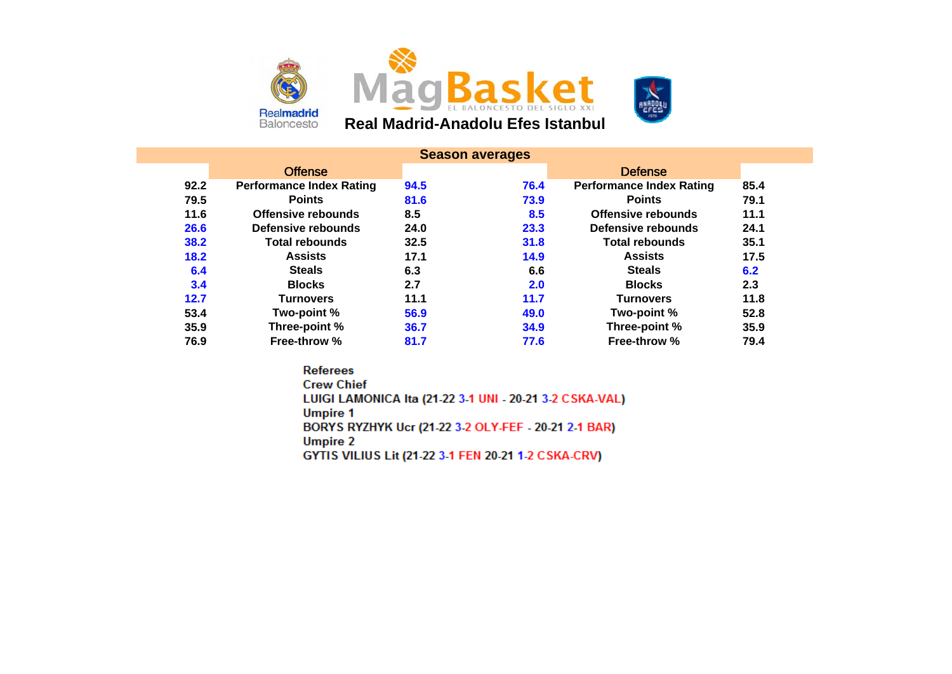





|      |                                 |      | <b>Season averages</b> |                                 |      |
|------|---------------------------------|------|------------------------|---------------------------------|------|
|      | <b>Offense</b>                  |      |                        | <b>Defense</b>                  |      |
| 92.2 | <b>Performance Index Rating</b> | 94.5 | 76.4                   | <b>Performance Index Rating</b> | 85.4 |
| 79.5 | <b>Points</b>                   | 81.6 | 73.9                   | <b>Points</b>                   | 79.1 |
| 11.6 | <b>Offensive rebounds</b>       | 8.5  | 8.5                    | <b>Offensive rebounds</b>       | 11.1 |
| 26.6 | Defensive rebounds              | 24.0 | 23.3                   | Defensive rebounds              | 24.1 |
| 38.2 | <b>Total rebounds</b>           | 32.5 | 31.8                   | <b>Total rebounds</b>           | 35.1 |
| 18.2 | <b>Assists</b>                  | 17.1 | 14.9                   | <b>Assists</b>                  | 17.5 |
| 6.4  | <b>Steals</b>                   | 6.3  | 6.6                    | <b>Steals</b>                   | 6.2  |
| 3.4  | <b>Blocks</b>                   | 2.7  | 2.0                    | <b>Blocks</b>                   | 2.3  |
| 12.7 | <b>Turnovers</b>                | 11.1 | 11.7                   | <b>Turnovers</b>                | 11.8 |
| 53.4 | Two-point %                     | 56.9 | 49.0                   | Two-point %                     | 52.8 |
| 35.9 | Three-point %                   | 36.7 | 34.9                   | Three-point %                   | 35.9 |
| 76.9 | Free-throw %                    | 81.7 | 77.6                   | <b>Free-throw %</b>             | 79.4 |

**Referees Crew Chief** LUIGI LAMONICA Ita (21-22 3-1 UNI - 20-21 3-2 CSKA-VAL) **Umpire 1** BORYS RYZHYK Ucr (21-22 3-2 OLY-FEF - 20-21 2-1 BAR) **Umpire 2** GYTIS VILIUS Lit (21-22 3-1 FEN 20-21 1-2 CSKA-CRV)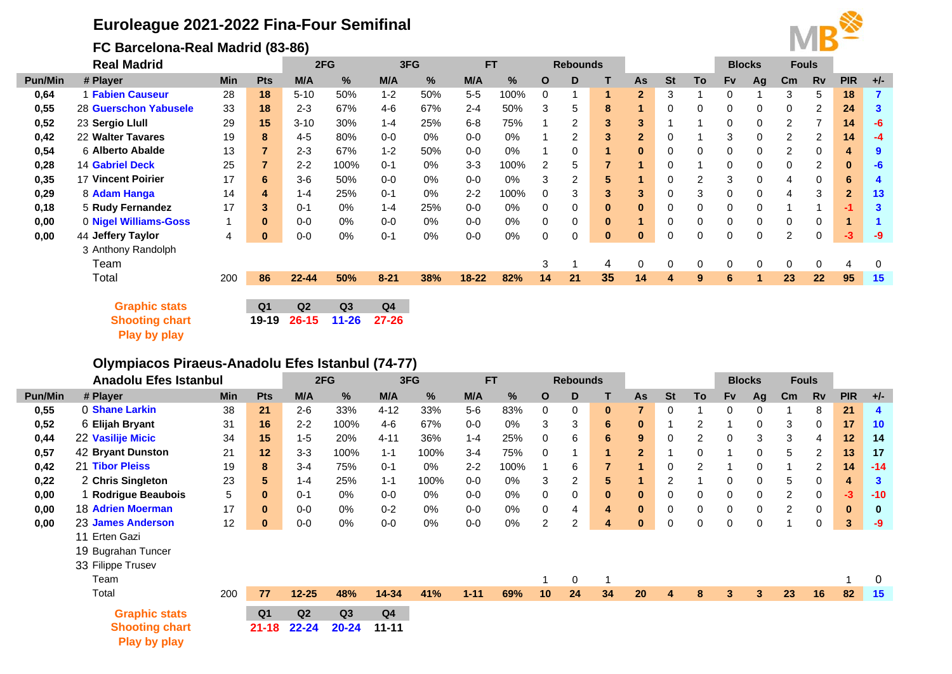# **Euroleague 2021-2022 Fina-Four Semifinal**

## **FC Barcelona-Real Madrid (83-86)**

**[Play by play](https://www.euroleaguebasketball.net/euroleague/game-center/2021-22/fc-barcelona-real-madrid/E2021/327/#play-by-play)**



|                | <b>Real Madrid</b>        |              |                | 2FG<br>3FG |           |                | <b>FT</b> |           |       | <b>Rebounds</b> |                      |          |                |           |    | <b>Fouls</b><br><b>Blocks</b> |    |                |           |                |                |
|----------------|---------------------------|--------------|----------------|------------|-----------|----------------|-----------|-----------|-------|-----------------|----------------------|----------|----------------|-----------|----|-------------------------------|----|----------------|-----------|----------------|----------------|
| <b>Pun/Min</b> | # Player                  | Min          | <b>Pts</b>     | M/A        | $\%$      | M/A            | $\%$      | M/A       | %     | $\mathbf{o}$    | D                    |          | As             | <b>St</b> | To | <b>Fv</b>                     | Ag | $\mathsf{Cm}$  | <b>Rv</b> | <b>PIR</b>     | $+/-$          |
| 0,64           | 1 Fabien Causeur          | 28           | 18             | $5 - 10$   | 50%       | $1 - 2$        | 50%       | $5-5$     | 100%  | 0               |                      |          | $\overline{2}$ | 3         |    | 0                             |    | 3              | 5         | 18             | $\overline{7}$ |
| 0,55           | 28 Guerschon Yabusele     | 33           | 18             | $2 - 3$    | 67%       | $4 - 6$        | 67%       | $2 - 4$   | 50%   | 3               | 5.                   | 8        | 1              | 0         | 0  | 0                             | 0  | 0              | 2         | 24             | 3              |
| 0,52           | 23 Sergio Llull           | 29           | 15             | $3 - 10$   | 30%       | $1 - 4$        | 25%       | $6 - 8$   | 75%   |                 | $\mathbf{2}^{\circ}$ | 3        | 3              |           |    | 0                             | 0  | $\overline{2}$ |           | 14             | $-6$           |
| 0,42           | 22 Walter Tavares         | 19           | 8              | $4 - 5$    | 80%       | $0-0$          | 0%        | $0-0$     | $0\%$ |                 | $\overline{2}$       | 3        | $\overline{2}$ | 0         |    | 3                             | 0  | 2              | 2         | 14             | $-4$           |
| 0,54           | 6 Alberto Abalde          | 13           |                | $2 - 3$    | 67%       | $1 - 2$        | 50%       | $0 - 0$   | 0%    |                 | 0                    |          | $\mathbf{0}$   | 0         | 0  | 0                             | 0  | $\overline{2}$ | 0         | 4              | 9              |
| 0,28           | <b>14 Gabriel Deck</b>    | 25           |                | $2 - 2$    | 100%      | $0 - 1$        | 0%        | $3-3$     | 100%  | 2               | 5                    |          | 1              | 0         |    | 0                             | 0  | 0              | 2         | $\bf{0}$       | -6             |
| 0,35           | <b>17 Vincent Poirier</b> | 17           | 6              | $3-6$      | 50%       | $0-0$          | 0%        | $0-0$     | 0%    | 3               | 2                    | 5        |                | 0         | 2  | 3                             | 0  | 4              | 0         | 6              |                |
| 0,29           | 8 Adam Hanga              | 14           | 4              | $1 - 4$    | 25%       | $0 - 1$        | 0%        | $2 - 2$   | 100%  | $\Omega$        | 3                    | 3        | 3              | 0         | 3  | 0                             | 0  | 4              | 3         | $\overline{2}$ | 13             |
| 0,18           | 5 Rudy Fernandez          | 17           | 3              | $0 - 1$    | 0%        | $1 - 4$        | 25%       | $0 - 0$   | 0%    | 0               |                      | $\bf{0}$ | $\bf{0}$       | 0         | 0  | 0                             | 0  |                |           | $-1$           | 3              |
| 0,00           | 0 Nigel Williams-Goss     | $\mathbf{1}$ | $\mathbf{0}$   | $0 - 0$    | 0%        | $0-0$          | 0%        | $0-0$     | 0%    | 0               |                      | $\bf{0}$ | 1              | 0         | 0  | 0                             | 0  | 0              | 0         |                |                |
| 0,00           | 44 Jeffery Taylor         | 4            | $\bf{0}$       | $0-0$      | 0%        | $0 - 1$        | 0%        | $0-0$     | 0%    | 0               | 0                    | $\bf{0}$ | $\mathbf{0}$   | 0         | 0  | 0                             | 0  | $\overline{2}$ | 0         | $-3$           | $-9$           |
|                | 3 Anthony Randolph        |              |                |            |           |                |           |           |       |                 |                      |          |                |           |    |                               |    |                |           |                |                |
|                | Team                      |              |                |            |           |                |           |           |       | 3               |                      | 4        | 0              | 0         | 0  | 0                             | 0  | 0              | 0         | 4              | 0              |
|                | Total                     | 200          | 86             | $22 - 44$  | 50%       | $8 - 21$       | 38%       | $18 - 22$ | 82%   | 14              | 21                   | 35       | 14             | 4         | 9  | 6                             |    | 23             | 22        | 95             | 15             |
|                |                           |              |                |            |           |                |           |           |       |                 |                      |          |                |           |    |                               |    |                |           |                |                |
|                | <b>Graphic stats</b>      |              | Q <sub>1</sub> | Q2         | Q3        | Q <sub>4</sub> |           |           |       |                 |                      |          |                |           |    |                               |    |                |           |                |                |
|                | <b>Shooting chart</b>     |              | 19-19          | $26 - 15$  | $11 - 26$ | $27 - 26$      |           |           |       |                 |                      |          |                |           |    |                               |    |                |           |                |                |

## **Olympiacos Piraeus-Anadolu Efes Istanbul (74-77)**

|                | <b>Anadolu Efes Istanbul</b>          |            |                |           | 2FG       |                | 3FG   |          | <b>FT</b> | <b>Rebounds</b> |                |              |                |           |                |             |              |                |                      |              |          | <b>Blocks</b> |  |  | <b>Fouls</b> |  |  |
|----------------|---------------------------------------|------------|----------------|-----------|-----------|----------------|-------|----------|-----------|-----------------|----------------|--------------|----------------|-----------|----------------|-------------|--------------|----------------|----------------------|--------------|----------|---------------|--|--|--------------|--|--|
| <b>Pun/Min</b> | # Player                              | <b>Min</b> | <b>Pts</b>     | M/A       | %         | M/A            | %     | M/A      | %         | $\mathbf{o}$    | D              |              | As             | <b>St</b> | To             | <b>Fv</b>   | Ag           | $\mathsf{Cm}$  | <b>Rv</b>            | <b>PIR</b>   | $+/-$    |               |  |  |              |  |  |
| 0,55           | 0 Shane Larkin                        | 38         | 21             | $2 - 6$   | 33%       | $4 - 12$       | 33%   | $5-6$    | 83%       | 0               | 0              | $\bf{0}$     | 7              | $\Omega$  |                | 0           | 0            |                | 8                    | 21           | 4        |               |  |  |              |  |  |
| 0,52           | 6 Elijah Bryant                       | 31         | 16             | $2 - 2$   | 100%      | $4-6$          | 67%   | $0-0$    | 0%        | 3               | 3              | 6            | $\bf{0}$       |           |                |             | 0            | 3              | $\Omega$             | 17           | 10       |               |  |  |              |  |  |
| 0,44           | 22 Vasilije Micic                     | 34         | 15             | $1 - 5$   | 20%       | $4 - 11$       | 36%   | $1 - 4$  | 25%       | $\Omega$        | 6              | 6            | 9              | 0         | $\overline{2}$ | 0           | 3            | 3              | 4                    | 12           | 14       |               |  |  |              |  |  |
| 0,57           | 42 Bryant Dunston                     | 21         | 12             | $3 - 3$   | 100%      | $1 - 1$        | 100%  | $3 - 4$  | 75%       | $\Omega$        |                |              | $\overline{2}$ |           | $\Omega$       |             | 0            | 5              | $\mathbf{2}^{\circ}$ | 13           | 17       |               |  |  |              |  |  |
| 0,42           | 21 Tibor Pleiss                       | 19         | 8              | $3 - 4$   | 75%       | $0 - 1$        | 0%    | $2 - 2$  | 100%      |                 | 6              |              |                | $\Omega$  | $\overline{2}$ |             | 0            |                | $\mathbf{2}^{\circ}$ | 14           | $-14$    |               |  |  |              |  |  |
| 0,22           | 2 Chris Singleton                     | 23         | 5              | $1 - 4$   | 25%       | $1 - 1$        | 100%  | $0-0$    | 0%        | 3               | $\overline{2}$ | 5            |                | 2         |                | 0           | 0            | 5              | 0                    | 4            | 3        |               |  |  |              |  |  |
| 0,00           | <b>Rodrigue Beaubois</b>              | 5          | $\mathbf{0}$   | $0 - 1$   | $0\%$     | $0-0$          | 0%    | $0-0$    | $0\%$     | $\Omega$        | 0              | $\mathbf{0}$ | $\bf{0}$       | 0         | 0              | 0           | 0            | $\overline{2}$ | $\Omega$             | -3           | $-10$    |               |  |  |              |  |  |
| 0,00           | <b>18 Adrien Moerman</b>              | 17         | $\mathbf{0}$   | $0-0$     | $0\%$     | $0 - 2$        | 0%    | $0-0$    | 0%        | 0               | 4              | 4            | $\bf{0}$       | $\Omega$  | 0              | 0           | 0            | $\overline{2}$ | $\Omega$             | $\mathbf{0}$ | $\bf{0}$ |               |  |  |              |  |  |
| 0,00           | 23 James Anderson                     | 12         | 0              | $0-0$     | 0%        | $0-0$          | $0\%$ | $0-0$    | 0%        | 2               | 2              | 4            | $\bf{0}$       | $\Omega$  | $\Omega$       | $\mathbf 0$ | 0            |                | 0                    | 3            | -9       |               |  |  |              |  |  |
|                | 11 Erten Gazi                         |            |                |           |           |                |       |          |           |                 |                |              |                |           |                |             |              |                |                      |              |          |               |  |  |              |  |  |
|                | 19 Bugrahan Tuncer                    |            |                |           |           |                |       |          |           |                 |                |              |                |           |                |             |              |                |                      |              |          |               |  |  |              |  |  |
|                | 33 Filippe Trusev                     |            |                |           |           |                |       |          |           |                 |                |              |                |           |                |             |              |                |                      |              |          |               |  |  |              |  |  |
|                | Team                                  |            |                |           |           |                |       |          |           |                 | $\Omega$       |              |                |           |                |             |              |                |                      |              | 0        |               |  |  |              |  |  |
|                | Total                                 | 200        | 77             | $12 - 25$ | 48%       | 14-34          | 41%   | $1 - 11$ | 69%       | 10              | 24             | 34           | 20             | 4         | 8              | 3           | $\mathbf{3}$ | 23             | 16                   | 82           | 15       |               |  |  |              |  |  |
|                | <b>Graphic stats</b>                  |            | Q <sub>1</sub> | Q2        | Q3        | Q <sub>4</sub> |       |          |           |                 |                |              |                |           |                |             |              |                |                      |              |          |               |  |  |              |  |  |
|                | <b>Shooting chart</b><br>Play by play |            | $21 - 18$      | $22 - 24$ | $20 - 24$ | $11 - 11$      |       |          |           |                 |                |              |                |           |                |             |              |                |                      |              |          |               |  |  |              |  |  |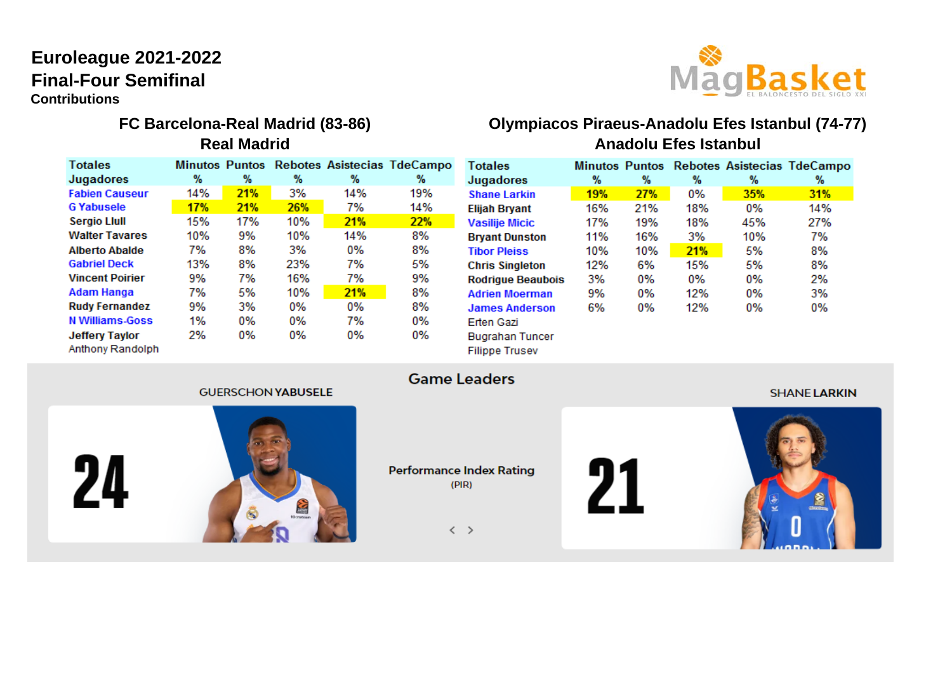# **Final-Four Semifinal Euroleague 2021-2022 Contributions**



# MagBasket **FC Barcelona-Real Madrid (83-86) Olympiacos Piraeus-Anadolu Efes Istanbul (74-77)**

| <b>Totales</b>                     |     |            |     |     | Minutos Puntos Rebotes Asistecias TdeCampo |
|------------------------------------|-----|------------|-----|-----|--------------------------------------------|
| Jugadores                          | %   | %          | %   | %   | %                                          |
| abien Causeur                      | 14% | <b>21%</b> | 3%  | 14% | 19%                                        |
| <b>G</b> Yabusele                  | 17% | <b>21%</b> | 26% | 7%  | 14%                                        |
| Sergio Llull                       | 15% | 17%        | 10% | 21% | 22%                                        |
| Walter Tavares                     | 10% | 9%         | 10% | 14% | 8%                                         |
| <b>Alberto Abalde</b>              | 7%  | 8%         | 3%  | 0%  | 8%                                         |
| Gabriel Deck                       | 13% | 8%         | 23% | 7%  | 5%                                         |
| /incent Poirier                    | 9%  | 7%         | 16% | 7%  | 9%                                         |
| Adam Hanga                         | 7%  | 5%         | 10% | 21% | 8%                                         |
| <b>Rudy Fernandez</b>              | 9%  | 3%         | 0%  | 0%  | 8%                                         |
| <b>V</b> Williams-Goss             | 1%  | 0%         | 0%  | 7%  | 0%                                         |
| Jeffery Taylor<br>\nthony Randolph | 2%  | 0%         | 0%  | 0%  | 0%                                         |
|                                    |     |            |     |     |                                            |

#### **Anadolu Efes Istanbul Totales** Minutos Puntos Rebotes Asistecias TdeCampo Jugadores %  $%$  $%$  $\%$  $%$ 19% 35% **Shane Larkin** 27% 0% 31%  $0%$ **Elijah Bryant** 16% 21% 18% 14% **Vasilije Micic** 17% 19% 18% 45% 27% Brya

| <b>Bryant Dunston</b>    | 11% | 16%   | 3%  | 10%   | 7% |
|--------------------------|-----|-------|-----|-------|----|
| <b>Tibor Pleiss</b>      | 10% | 10%   | 21% | 5%    | 8% |
| <b>Chris Singleton</b>   | 12% | 6%    | 15% | 5%    | 8% |
| <b>Rodrigue Beaubois</b> | 3%  | 0%    | 0%  | 0%    | 2% |
| <b>Adrien Moerman</b>    | 9%  | $0\%$ | 12% | $0\%$ | 3% |
| <b>James Anderson</b>    | 6%  | 0%    | 12% | 0%    | 0% |
| <b>Erten Gazi</b>        |     |       |     |       |    |

#### **GUERSCHON YABUSELE**

24



**Performance Index Rating**  $(PIR)$ 

**Game Leaders** 

**Bugrahan Tuncer Filippe Trusev** 

 $\langle \rangle$ 



#### **SHANE LARKIN**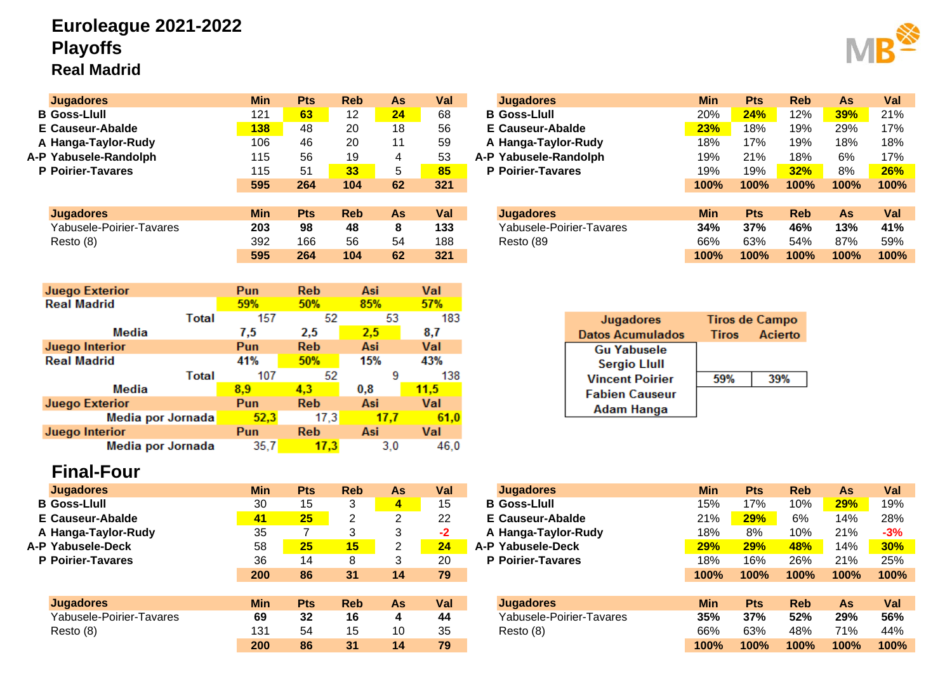# **Euroleague 2021-2022 Playoffs Real Madrid**

| <b>Jugadores</b>         | <b>Min</b> | <b>Pts</b>    | <b>Reb</b>      | <b>As</b> | Val  | <b>Jugadores</b>         | <b>Min</b> | <b>Pts</b>            | <b>Reb</b>     | As         | Val  |
|--------------------------|------------|---------------|-----------------|-----------|------|--------------------------|------------|-----------------------|----------------|------------|------|
| <b>B</b> Goss-Llull      | 121        | 63            | 12              | 24        | 68   | <b>B</b> Goss-Llull      | 20%        | 24%                   | 12%            | <b>39%</b> | 21%  |
| <b>E</b> Causeur-Abalde  | <b>138</b> | 48            | 20              | 18        | 56   | E Causeur-Abalde         | 23%        | 18%                   | 19%            | 29%        | 17%  |
| A Hanga-Taylor-Rudy      | 106        | 46            | 20              | 11        | 59   | A Hanga-Taylor-Rudy      | 18%        | 17%                   | 19%            | 18%        | 18%  |
| A-P Yabusele-Randolph    | 115        | 56            | 19              | 4         | 53   | A-P Yabusele-Randolph    | 19%        | 21%                   | 18%            | 6%         | 17%  |
| P Poirier-Tavares        | 115        | 51            | 33 <sup>°</sup> | 5         | 85   | <b>P</b> Poirier-Tavares | 19%        | 19%                   | 32%            | 8%         | 26%  |
|                          | 595        | 264           | 104             | 62        | 321  |                          | 100%       | 100%                  | 100%           | 100%       | 100% |
|                          |            |               |                 |           |      |                          |            |                       |                |            |      |
| <b>Jugadores</b>         | <b>Min</b> | <b>Pts</b>    | <b>Reb</b>      | As        | Val  | <b>Jugadores</b>         | <b>Min</b> | <b>Pts</b>            | <b>Reb</b>     | As         | Val  |
| Yabusele-Poirier-Tavares | 203        | 98            | 48              | 8         | 133  | Yabusele-Poirier-Tavares | 34%        | 37%                   | 46%            | 13%        | 41%  |
| Resto (8)                | 392        | 166           | 56              | 54        | 188  | Resto (89                | 66%        | 63%                   | 54%            | 87%        | 59%  |
|                          | 595        | 264           | 104             | 62        | 321  |                          | 100%       | 100%                  | 100%           | 100%       | 100% |
|                          |            |               |                 |           |      |                          |            |                       |                |            |      |
| <b>Juego Exterior</b>    | Pun        | <b>Reb</b>    | Asi             |           | Val  |                          |            |                       |                |            |      |
| <b>Real Madrid</b>       | 59%        | 50%           | 85%             |           | 57%  |                          |            |                       |                |            |      |
| Total                    | 157        |               | 52              | 53        | 183  |                          |            |                       |                |            |      |
|                          |            |               |                 |           |      | Jugadores                |            | <b>Tiros de Campo</b> |                |            |      |
| Media                    | 7,5        | 2,5           | 2,5             |           | 8,7  | <b>Datos Acumulados</b>  |            | Tiros                 | <b>Acierto</b> |            |      |
| Juego Interior           | Pun        | <b>Reb</b>    | Asi             |           | Val  | <b>Gu Yabusele</b>       |            |                       |                |            |      |
| <b>Doal Madrid</b>       | A40/       | <b>F.O.O.</b> | 4.50/           |           | 420/ |                          |            |                       |                |            |      |

| <b>Real Madrid</b>    | 41%  | 50%        | 15%  | 43%  |
|-----------------------|------|------------|------|------|
| Total                 | 107  | 52         |      | 138  |
| Media                 | 8.9  | 4.3        | 0.8  | 11,5 |
| <b>Juego Exterior</b> | Pun  | <b>Reb</b> | Asi  | Val  |
| Media por Jornada     | 52,3 | 17.3       | 17.7 | 61.0 |
| Juego Interior        | Pun  | <b>Reb</b> | Asi  | Val  |
| Media por Jornada     | 35,7 | 17.3       | 3.0  | 46,0 |

# **Final-Four**

| <b>Jugadores</b>         | <b>Min</b> | Pts | <b>Reb</b> |    | Val  | <b>Jugadores</b>         | <b>Min</b> | <b>Pts</b> | <b>Reb</b> |            | Val         |
|--------------------------|------------|-----|------------|----|------|--------------------------|------------|------------|------------|------------|-------------|
|                          |            |     |            | As |      |                          |            |            |            | <b>As</b>  |             |
| <b>B</b> Goss-Llull      | 30         | 15  | 3          | 4  | 15   | <b>B</b> Goss-Llull      | 15%        | 17%        | 10%        | <b>29%</b> | 19%         |
| E Causeur-Abalde         | 41         | 25  | 2          | 2  | 22   | E Causeur-Abalde         | 21%        | 29%        | 6%         | 14%        | 28%         |
| A Hanga-Taylor-Rudy      | 35         |     |            | 3  | $-2$ | A Hanga-Taylor-Rudy      | 18%        | 8%         | 10%        | 21%        | $-3%$       |
| A-P Yabusele-Deck        | 58         | 25  | 15         | 2  | 24   | A-P Yabusele-Deck        | 29%        | 29%        | 48%        | 14%        | <b>30%</b>  |
| <b>P</b> Poirier-Tavares | 36         | 14  | 8          | 3  | 20   | <b>P</b> Poirier-Tavares | 18%        | 16%        | 26%        | 21%        | 25%         |
|                          | 200        | 86  | 31         | 14 | 79   |                          | 100%       | 100%       | 100%       | 100%       | <b>100%</b> |
|                          |            |     |            |    |      |                          |            |            |            |            |             |
| <b>Jugadores</b>         | <b>Min</b> | Pts | <b>Reb</b> | As | Val  | <b>Jugadores</b>         | <b>Min</b> | <b>Pts</b> | <b>Reb</b> | <b>As</b>  | Val         |
| Yabusele-Poirier-Tavares | 69         | 32  | 16         | 4  | 44   | Yabusele-Poirier-Tavares | 35%        | 37%        | 52%        | 29%        | 56%         |
| Resto(8)                 | 131        | 54  | 15         | 10 | 35   | Resto (8)                | 66%        | 63%        | 48%        | 71%        | 44%         |
|                          | 200        | 86  | 31         | 14 | 79   |                          | 100%       | 100%       | 100%       | 100%       | <b>100%</b> |

|    | Pts        | <b>Reb</b> | As | Val | <b>Jugadores</b>         | Min        | Pts        | Reb        | As   | Val  |
|----|------------|------------|----|-----|--------------------------|------------|------------|------------|------|------|
|    | 63         | 12         | 24 | 68  | <b>B</b> Goss-Llull      | 20%        | 24%        | 12%        | 39%  | 21%  |
| 8  | 48         | 20         | 18 | 56  | <b>E</b> Causeur-Abalde  | 23%        | 18%        | 19%        | 29%  | 17%  |
| 6  | 46         | 20         | 11 | 59  | A Hanga-Taylor-Rudy      | 18%        | 17%        | 19%        | 18%  | 18%  |
| 5  | 56         | 19         | 4  | 53  | A-P Yabusele-Randolph    | 19%        | 21%        | 18%        | 6%   | 17%  |
| 5  | 51         | 33         | 5  | 85  | <b>P</b> Poirier-Tavares | 19%        | 19%        | 32%        | 8%   | 26%  |
| 5  | 264        | 104        | 62 | 321 |                          | 100%       | 100%       | 100%       | 100% | 100% |
|    |            |            |    |     |                          |            |            |            |      |      |
| n. | <b>Pts</b> | <b>Reb</b> | As | Val | <b>Jugadores</b>         | <b>Min</b> | <b>Pts</b> | <b>Reb</b> | As   | Val  |
| 3  | 98         | 48         | 8  | 133 | Yabusele-Poirier-Tavares | 34%        | 37%        | 46%        | 13%  | 41%  |
| 2  | 166        | 56         | 54 | 188 | Resto (89                | 66%        | 63%        | 54%        | 87%  | 59%  |
| 5  | 264        | 104        | 62 | 321 |                          | 100%       | 100%       | 100%       | 100% | 100% |

| Jugadores               | <b>Tiros de Campo</b> |         |  |  |  |  |  |
|-------------------------|-----------------------|---------|--|--|--|--|--|
| <b>Datos Acumulados</b> | <b>Tiros</b>          | Acierto |  |  |  |  |  |
| <b>Gu Yabusele</b>      |                       |         |  |  |  |  |  |
| <b>Sergio Llull</b>     |                       |         |  |  |  |  |  |
| <b>Vincent Poirier</b>  | 59%                   | 39%     |  |  |  |  |  |
| <b>Fabien Causeur</b>   |                       |         |  |  |  |  |  |
| <b>Adam Hanga</b>       |                       |         |  |  |  |  |  |

| Jugadores                | <b>Min</b> | <b>Pts</b> | <b>Reb</b>      | As | Val  | <b>Jugadores</b>         | <b>Min</b> | <b>Pts</b> | <b>Reb</b> | As   | Val        |
|--------------------------|------------|------------|-----------------|----|------|--------------------------|------------|------------|------------|------|------------|
| Goss-Llull               | 30         | 15         | 3               | 4  | 15   | <b>B</b> Goss-Llull      | 15%        | 17%        | 10%        | 29%  | 19%        |
| Causeur-Abalde           | 41         | 25         | 2               | ົ  | 22   | E Causeur-Abalde         | 21%        | 29%        | 6%         | 14%  | 28%        |
| Hanga-Taylor-Rudy        | 35         |            | 3               |    | $-2$ | A Hanga-Taylor-Rudy      | 18%        | 8%         | 10%        | 21%  | $-3%$      |
| Yabusele-Deck            | 58         | 25         | 15 <sub>l</sub> | ົ  | 24   | A-P Yabusele-Deck        | <b>29%</b> | <b>29%</b> | <b>48%</b> | 14%  | <b>30%</b> |
| <b>Poirier-Tavares</b>   | 36         | 14         | 8               |    | 20   | <b>P</b> Poirier-Tavares | 18%        | 16%        | 26%        | 21%  | 25%        |
|                          | 200        | 86         | 31              | 14 | 79   |                          | 100%       | 100%       | 100%       | 100% | 100%       |
|                          |            |            |                 |    |      |                          |            |            |            |      |            |
| <b>Jugadores</b>         | <b>Min</b> | <b>Pts</b> | <b>Reb</b>      | As | Val  | <b>Jugadores</b>         | <b>Min</b> | <b>Pts</b> | <b>Reb</b> | As   | Val        |
| Yabusele-Poirier-Tavares | 69         | 32         | 16              | 4  | 44   | Yabusele-Poirier-Tavares | 35%        | 37%        | 52%        | 29%  | 56%        |
| Resto (8)                | 131        | 54         | 15              | 10 | 35   | Resto (8)                | 66%        | 63%        | 48%        | 71%  | 44%        |
|                          | 200        | 86         | 31              | 14 | 79   |                          | 100%       | 100%       | 100%       | 100% | 100%       |
|                          |            |            |                 |    |      |                          |            |            |            |      |            |

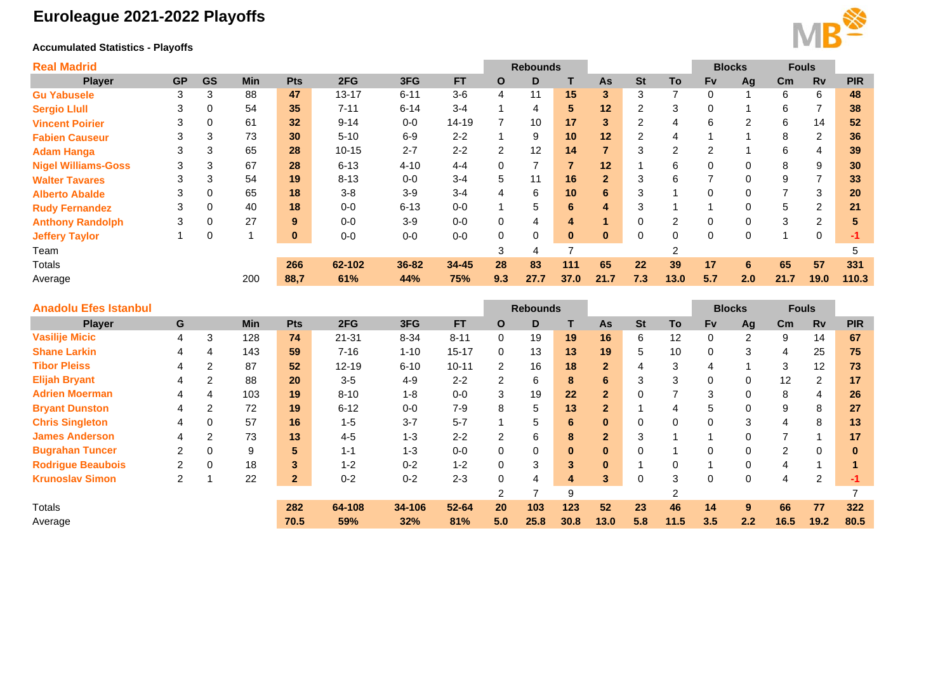# **Euroleague 2021-2022 Playoffs**

### **Accumulated Statistics - Playoffs**



| <b>Real Madrid</b>         |           |             |            |          |           |          |           |                | <b>Rebounds</b> |                |                |                |               |                | <b>Blocks</b>  | <b>Fouls</b>  |           |            |
|----------------------------|-----------|-------------|------------|----------|-----------|----------|-----------|----------------|-----------------|----------------|----------------|----------------|---------------|----------------|----------------|---------------|-----------|------------|
| <b>Player</b>              | <b>GP</b> | <b>GS</b>   | <b>Min</b> | Pts      | 2FG       | 3FG      | <b>FT</b> | $\mathbf{o}$   | D               |                | As             | <b>St</b>      | To            | <b>Fv</b>      | Ag             | $\mathsf{cm}$ | <b>Rv</b> | <b>PIR</b> |
| <b>Gu Yabusele</b>         | 3         | 3           | 88         | 47       | $13 - 17$ | $6 - 11$ | $3-6$     | 4              | 11              | 15             | 3              | 3              |               | 0              |                | 6             | 6         | 48         |
| <b>Sergio Llull</b>        | 3         | 0           | 54         | 35       | $7 - 11$  | $6 - 14$ | $3 - 4$   |                | 4               | 5.             | 12             | $\overline{2}$ | 3             | 0              |                | 6             | 7         | 38         |
| <b>Vincent Poirier</b>     | 3         | 0           | 61         | 32       | $9 - 14$  | $0 - 0$  | $14 - 19$ |                | 10              | 17             | 3              | $\overline{2}$ | 4             | 6              | $\overline{2}$ | 6             | 14        | 52         |
| <b>Fabien Causeur</b>      | 3         | 3           | 73         | 30       | $5 - 10$  | $6-9$    | $2 - 2$   |                | 9               | 10             | 12             | 2              | 4             |                |                | 8             | 2         | 36         |
| <b>Adam Hanga</b>          | 3         | 3           | 65         | 28       | $10 - 15$ | $2 - 7$  | $2 - 2$   | $\overline{2}$ | 12              | 14             | $\overline{7}$ | 3              | 2             | 2              |                | 6             | 4         | 39         |
| <b>Nigel Williams-Goss</b> | 3         | 3           | 67         | 28       | $6 - 13$  | $4 - 10$ | $4 - 4$   | 0              |                 | $\overline{7}$ | 12             |                | 6             | 0              | 0              | 8             | 9         | 30         |
| <b>Walter Tavares</b>      | 3         | 3           | 54         | 19       | $8 - 13$  | $0 - 0$  | $3 - 4$   | 5.             |                 | 16             | $\overline{2}$ | 3              | 6             | $\overline{ }$ | 0              | 9             | 7         | 33         |
| <b>Alberto Abalde</b>      | 3         | 0           | 65         | 18       | $3-8$     | $3-9$    | $3 - 4$   | 4              | 6               | 10             | 6              | 3              |               | 0              | 0              |               | 3         | 20         |
| <b>Rudy Fernandez</b>      | 3         | $\mathbf 0$ | 40         | 18       | $0-0$     | $6 - 13$ | $0-0$     | и              | 5               | 6              | 4              | 3              |               | 4              | 0              | 5             | 2         | 21         |
| <b>Anthony Randolph</b>    | 3         | 0           | 27         | 9        | $0-0$     | $3-9$    | $0-0$     | 0              | 4               | 4              |                | 0              | $\mathcal{P}$ | 0              | 0              | 3             | 2         | 5          |
| <b>Jeffery Taylor</b>      |           | 0           |            | $\bf{0}$ | $0-0$     | $0 - 0$  | $0-0$     | 0              | 0               | $\bf{0}$       | $\mathbf{0}$   | 0              | 0             | 0              | 0              |               | 0         | $-1$       |
| Team                       |           |             |            |          |           |          |           | 3              |                 |                |                |                | 2             |                |                |               |           | 5          |
| Totals                     |           |             |            | 266      | 62-102    | 36-82    | $34 - 45$ | 28             | 83              | 111            | 65             | 22             | 39            | 17             | 6              | 65            | 57        | 331        |
| Average                    |           |             | 200        | 88,7     | 61%       | 44%      | 75%       | 9.3            | 27.7            | 37.0           | 21.7           | 7.3            | 13.0          | 5.7            | 2.0            | 21.7          | 19.0      | 110.3      |

| <b>Anadolu Efes Istanbul</b> |                |                |            |                |           |          |           |                | <b>Rebounds</b> |              |                |           |      | <b>Blocks</b> |          | <b>Fouls</b>   |                |            |
|------------------------------|----------------|----------------|------------|----------------|-----------|----------|-----------|----------------|-----------------|--------------|----------------|-----------|------|---------------|----------|----------------|----------------|------------|
| <b>Player</b>                | G              |                | <b>Min</b> | <b>Pts</b>     | 2FG       | 3FG      | <b>FT</b> | $\mathbf{o}$   | D               |              | As             | <b>St</b> | To   | <b>Fv</b>     | Ag       | $\mathsf{cm}$  | <b>Rv</b>      | <b>PIR</b> |
| <b>Vasilije Micic</b>        | 4              | 3              | 128        | 74             | 21-31     | $8 - 34$ | $8 - 11$  | 0              | 19              | 19           | 16             | 6         | 12   | 0             | 2        | 9              | 14             | 67         |
| <b>Shane Larkin</b>          |                | 4              | 143        | 59             | $7 - 16$  | $1 - 10$ | $15 - 17$ | 0              | 13              | 13           | 19             | 5         | 10   | $\Omega$      | 3        | 4              | 25             | 75         |
| <b>Tibor Pleiss</b>          |                | 2              | 87         | 52             | $12 - 19$ | $6 - 10$ | $10 - 11$ | $\overline{2}$ | 16              | 18           | $\overline{2}$ | 4         | 3    | 4             |          | 3              | 12             | 73         |
| <b>Elijah Bryant</b>         | 4              | 2              | 88         | <b>20</b>      | $3-5$     | $4 - 9$  | $2 - 2$   | $\overline{2}$ | 6               | 8            | 6              | 3         | 3    | 0             | $\Omega$ | 12             | $\overline{2}$ | 17         |
| <b>Adrien Moerman</b>        |                | 4              | 103        | 19             | $8 - 10$  | $1 - 8$  | $0 - 0$   | 3              | 19              | 22           | $\overline{2}$ | 0         |      | 3             | $\Omega$ | 8              | 4              | 26         |
| <b>Bryant Dunston</b>        |                | $\overline{2}$ | 72         | 19             | $6 - 12$  | $0 - 0$  | $7-9$     | 8              | 5               | 13           | $\overline{2}$ |           | 4    | 5             | 0        | 9              | 8              | 27         |
| <b>Chris Singleton</b>       | 4              | $\Omega$       | 57         | 16             | $1 - 5$   | $3 - 7$  | $5 - 7$   |                | 5               | 6            | $\mathbf{0}$   | 0         | 0    | $\Omega$      | 3        | 4              | 8              | 13         |
| <b>James Anderson</b>        |                | 2              | 73         | 13             | $4 - 5$   | $1 - 3$  | $2 - 2$   | $\overline{2}$ | 6               | 8            | $\overline{2}$ | 3         |      |               | 0        |                |                | 17         |
| <b>Bugrahan Tuncer</b>       | $\mathcal{P}$  | $\Omega$       | 9          | 5              | $1 - 1$   | $1 - 3$  | $0 - 0$   | 0              |                 | $\mathbf{0}$ | $\mathbf{0}$   | 0         |      | 0             | 0        | $\overline{2}$ | $\mathbf 0$    | $\bf{0}$   |
| <b>Rodrigue Beaubois</b>     | $\overline{2}$ | $\Omega$       | 18         | 3              | $1 - 2$   | $0 - 2$  | $1 - 2$   | 0              | 3               | 3            | $\mathbf{0}$   |           | 0    |               | $\Omega$ | 4              |                |            |
| <b>Krunoslav Simon</b>       | 2              |                | 22         | 2 <sup>1</sup> | $0 - 2$   | $0 - 2$  | $2 - 3$   | $\Omega$       | 4               | 4            | 3              | 0         | 3    | $\Omega$      | $\Omega$ | 4              | 2              | -1         |
|                              |                |                |            |                |           |          |           | $\overline{2}$ |                 | 9            |                |           |      |               |          |                |                |            |
| Totals                       |                |                |            | 282            | 64-108    | 34-106   | $52 - 64$ | 20             | 103             | 123          | 52             | 23        | 46   | 14            | 9        | 66             | 77             | 322        |
| Average                      |                |                |            | 70.5           | 59%       | 32%      | 81%       | 5.0            | 25.8            | 30.8         | 13.0           | 5.8       | 11.5 | 3.5           | 2.2      | 16.5           | 19.2           | 80.5       |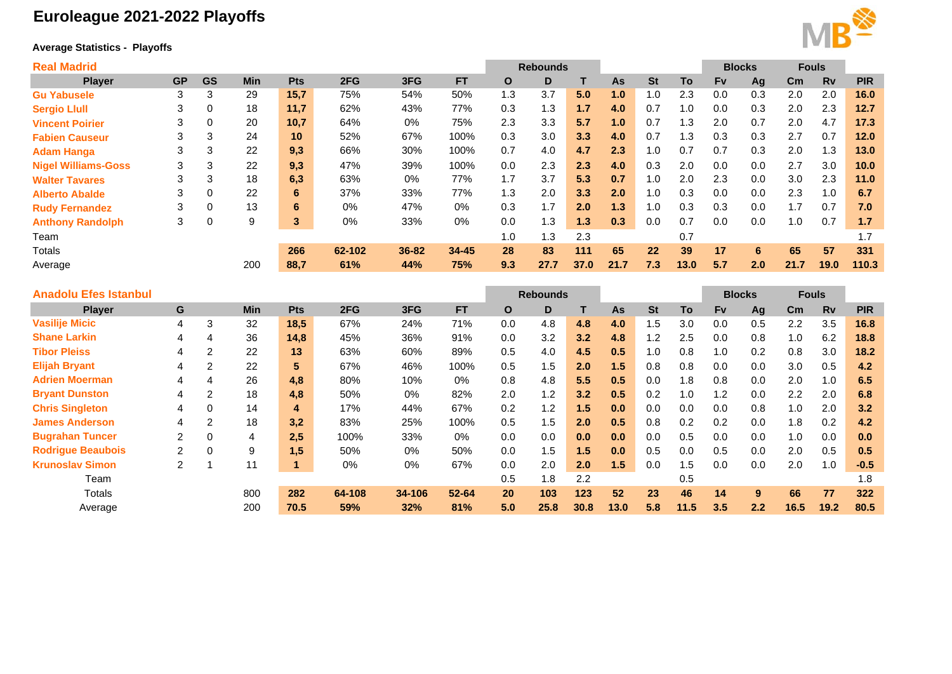# **Euroleague 2021-2022 Playoffs**

## **Average Statistics - Playoffs**



| <b>Real Madrid</b>         |           |           |            |                 |        |       |           |     | <b>Rebounds</b> |      |           |           |      |           | <b>Blocks</b> | <b>Fouls</b> |           |            |
|----------------------------|-----------|-----------|------------|-----------------|--------|-------|-----------|-----|-----------------|------|-----------|-----------|------|-----------|---------------|--------------|-----------|------------|
| <b>Player</b>              | <b>GP</b> | <b>GS</b> | <b>Min</b> | <b>Pts</b>      | 2FG    | 3FG   | <b>FT</b> | O   | D               | т    | <b>As</b> | <b>St</b> | To   | <b>Fv</b> | Ag            | Cm           | <b>Rv</b> | <b>PIR</b> |
| <b>Gu Yabusele</b>         | 3         | 3         | 29         | 15,7            | 75%    | 54%   | 50%       | 1.3 | 3.7             | 5.0  | 1.0       | 1.0       | 2.3  | 0.0       | 0.3           | 2.0          | 2.0       | 16.0       |
| <b>Sergio Llull</b>        | 3         | 0         | 18         | 11,7            | 62%    | 43%   | 77%       | 0.3 | 1.3             | 1.7  | 4.0       | 0.7       | 1.0  | 0.0       | 0.3           | 2.0          | 2.3       | 12.7       |
| <b>Vincent Poirier</b>     | 3         | 0         | 20         | 10,7            | 64%    | 0%    | 75%       | 2.3 | 3.3             | 5.7  | 1.0       | 0.7       | 1.3  | 2.0       | 0.7           | 2.0          | 4.7       | 17.3       |
| <b>Fabien Causeur</b>      | 3         | 3         | 24         | 10 <sup>1</sup> | 52%    | 67%   | 100%      | 0.3 | 3.0             | 3.3  | 4.0       | 0.7       | 1.3  | 0.3       | 0.3           | 2.7          | 0.7       | 12.0       |
| <b>Adam Hanga</b>          | 3         | 3         | 22         | 9,3             | 66%    | 30%   | 100%      | 0.7 | 4.0             | 4.7  | 2.3       | 1.0       | 0.7  | 0.7       | 0.3           | 2.0          | 1.3       | 13.0       |
| <b>Nigel Williams-Goss</b> | 3         | 3         | 22         | 9,3             | 47%    | 39%   | 100%      | 0.0 | 2.3             | 2.3  | 4.0       | 0.3       | 2.0  | 0.0       | 0.0           | 2.7          | 3.0       | 10.0       |
| <b>Walter Tavares</b>      | 3         | 3         | 18         | 6,3             | 63%    | 0%    | 77%       | 1.7 | 3.7             | 5.3  | 0.7       | 1.0       | 2.0  | 2.3       | 0.0           | 3.0          | 2.3       | 11.0       |
| <b>Alberto Abalde</b>      | 3         | 0         | 22         | 6               | 37%    | 33%   | 77%       | 1.3 | 2.0             | 3.3  | 2.0       | 1.0       | 0.3  | 0.0       | 0.0           | 2.3          | 1.0       | 6.7        |
| <b>Rudy Fernandez</b>      | 3         | 0         | 13         | 6               | $0\%$  | 47%   | $0\%$     | 0.3 | 1.7             | 2.0  | 1.3       | 1.0       | 0.3  | 0.3       | 0.0           | 1.7          | 0.7       | 7.0        |
| <b>Anthony Randolph</b>    | 3         | 0         | 9          | 3               | 0%     | 33%   | 0%        | 0.0 | 1.3             | 1.3  | 0.3       | 0.0       | 0.7  | 0.0       | 0.0           | 1.0          | 0.7       | 1.7        |
| Team                       |           |           |            |                 |        |       |           | 1.0 | 1.3             | 2.3  |           |           | 0.7  |           |               |              |           | 1.7        |
| <b>Totals</b>              |           |           |            | 266             | 62-102 | 36-82 | $34 - 45$ | 28  | 83              | 111  | 65        | 22        | 39   | 17        | 6             | 65           | 57        | 331        |
| Average                    |           |           | 200        | 88,7            | 61%    | 44%   | 75%       | 9.3 | 27.7            | 37.0 | 21.7      | 7.3       | 13.0 | 5.7       | 2.0           | 21.7         | 19.0      | 110.3      |
|                            |           |           |            |                 |        |       |           |     |                 |      |           |           |      |           |               |              |           |            |

| <b>Anadolu Efes Istanbul</b> |                |             |                |                |        |        |           | <b>Rebounds</b> |      |      |      |            | <b>Blocks</b> |           | <b>Fouls</b> |      |           |            |
|------------------------------|----------------|-------------|----------------|----------------|--------|--------|-----------|-----------------|------|------|------|------------|---------------|-----------|--------------|------|-----------|------------|
| <b>Player</b>                | G              |             | <b>Min</b>     | Pts            | 2FG    | 3FG    | <b>FT</b> | O               | D    |      | As   | <b>St</b>  | To            | <b>Fv</b> | Ag           | Cm.  | <b>Rv</b> | <b>PIR</b> |
| <b>Vasilije Micic</b>        | 4              | 3           | 32             | 18,5           | 67%    | 24%    | 71%       | 0.0             | 4.8  | 4.8  | 4.0  | 1.5        | 3.0           | 0.0       | 0.5          | 2.2  | 3.5       | 16.8       |
| <b>Shane Larkin</b>          | 4              | 4           | 36             | 14,8           | 45%    | 36%    | 91%       | 0.0             | 3.2  | 3.2  | 4.8  | $\cdot$ .2 | 2.5           | 0.0       | 0.8          | 1.0  | 6.2       | 18.8       |
| <b>Tibor Pleiss</b>          |                | 2           | 22             | 13             | 63%    | 60%    | 89%       | 0.5             | 4.0  | 4.5  | 0.5  | 1.0        | 0.8           | 1.0       | 0.2          | 0.8  | 3.0       | 18.2       |
| <b>Elijah Bryant</b>         | 4              | 2           | 22             | 5 <sup>5</sup> | 67%    | 46%    | 100%      | 0.5             | 1.5  | 2.0  | 1.5  | 0.8        | 0.8           | 0.0       | 0.0          | 3.0  | 0.5       | 4.2        |
| <b>Adrien Moerman</b>        |                | 4           | 26             | 4.8            | 80%    | 10%    | 0%        | 0.8             | 4.8  | 5.5  | 0.5  | 0.0        | 1.8           | 0.8       | 0.0          | 2.0  | 1.0       | 6.5        |
| <b>Bryant Dunston</b>        | 4              | 2           | 18             | 4,8            | 50%    | 0%     | 82%       | 2.0             | 1.2  | 3.2  | 0.5  | 0.2        | 1.0           | 1.2       | 0.0          | 2.2  | 2.0       | 6.8        |
| <b>Chris Singleton</b>       | 4              | 0           | 14             | 4              | 17%    | 44%    | 67%       | 0.2             | 1.2  | 1.5  | 0.0  | 0.0        | 0.0           | 0.0       | 0.8          | 1.0  | 2.0       | 3.2        |
| <b>James Anderson</b>        |                | 2           | 18             | 3,2            | 83%    | 25%    | 100%      | 0.5             | 1.5  | 2.0  | 0.5  | 0.8        | 0.2           | 0.2       | 0.0          | 1.8  | 0.2       | 4.2        |
| <b>Bugrahan Tuncer</b>       | $\overline{2}$ | $\mathbf 0$ | $\overline{4}$ | 2.5            | 100%   | 33%    | 0%        | 0.0             | 0.0  | 0.0  | 0.0  | 0.0        | 0.5           | 0.0       | 0.0          | 1.0  | 0.0       | 0.0        |
| <b>Rodrigue Beaubois</b>     | $\overline{2}$ | $\Omega$    | 9              | 1,5            | 50%    | 0%     | 50%       | 0.0             | 1.5  | 1.5  | 0.0  | 0.5        | 0.0           | 0.5       | 0.0          | 2.0  | 0.5       | 0.5        |
| <b>Krunoslav Simon</b>       | $\overline{2}$ |             | 11             |                | $0\%$  | 0%     | 67%       | 0.0             | 2.0  | 2.0  | 1.5  | 0.0        | 1.5           | 0.0       | 0.0          | 2.0  | 1.0       | $-0.5$     |
| Team                         |                |             |                |                |        |        |           | 0.5             | 1.8  | 2.2  |      |            | 0.5           |           |              |      |           | 1.8        |
| Totals                       |                |             | 800            | 282            | 64-108 | 34-106 | $52 - 64$ | 20              | 103  | 123  | 52   | 23         | 46            | 14        | $9^{\circ}$  | 66   | 77        | 322        |
| Average                      |                |             | 200            | 70.5           | 59%    | 32%    | 81%       | 5.0             | 25.8 | 30.8 | 13.0 | 5.8        | 11.5          | 3.5       | 2.2          | 16.5 | 19.2      | 80.5       |